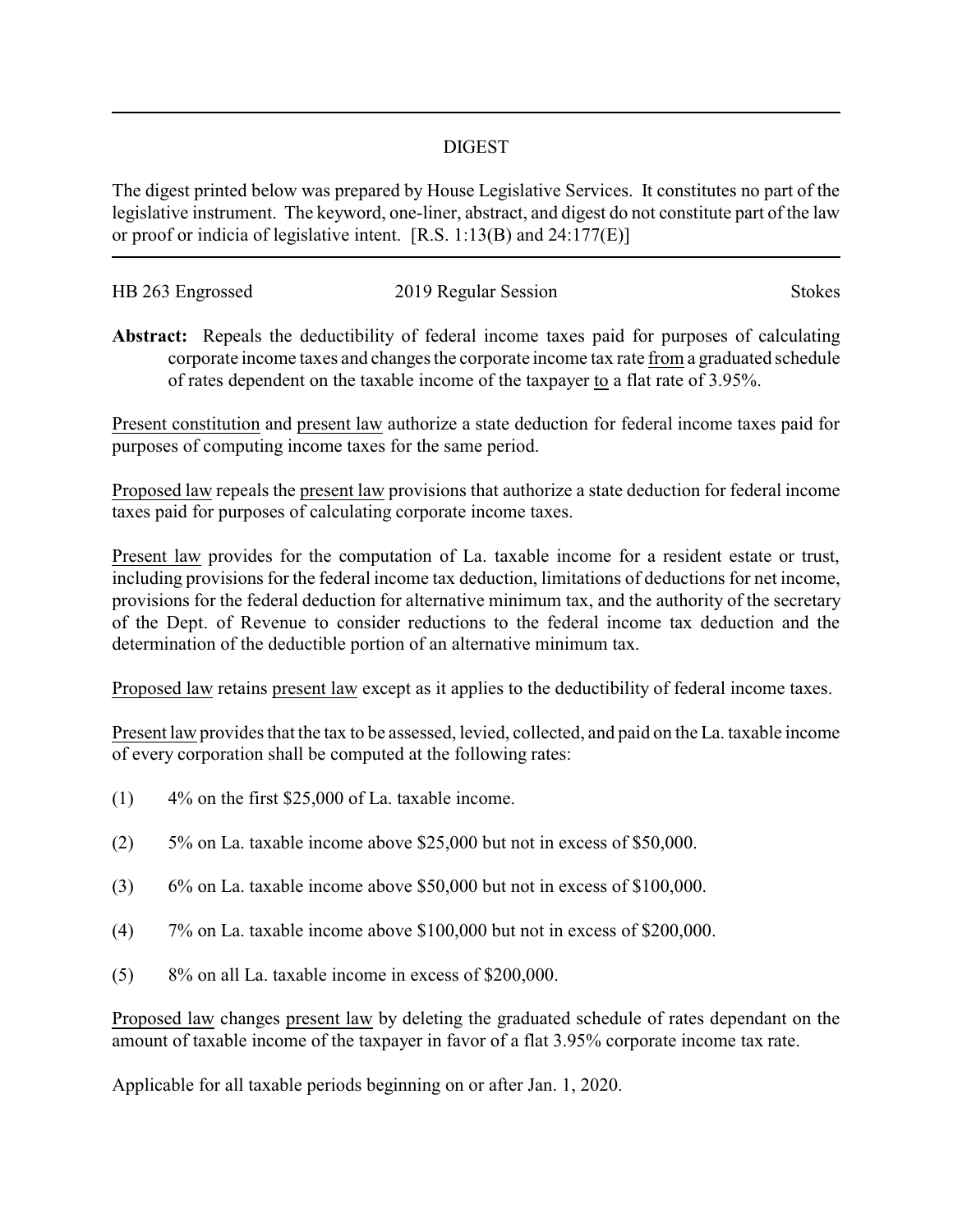## DIGEST

The digest printed below was prepared by House Legislative Services. It constitutes no part of the legislative instrument. The keyword, one-liner, abstract, and digest do not constitute part of the law or proof or indicia of legislative intent. [R.S. 1:13(B) and 24:177(E)]

| HB 263 Engrossed | 2019 Regular Session | <b>Stokes</b> |
|------------------|----------------------|---------------|
|                  |                      |               |

**Abstract:** Repeals the deductibility of federal income taxes paid for purposes of calculating corporate income taxes and changes the corporate income tax rate from a graduated schedule of rates dependent on the taxable income of the taxpayer to a flat rate of 3.95%.

Present constitution and present law authorize a state deduction for federal income taxes paid for purposes of computing income taxes for the same period.

Proposed law repeals the present law provisions that authorize a state deduction for federal income taxes paid for purposes of calculating corporate income taxes.

Present law provides for the computation of La. taxable income for a resident estate or trust, including provisions for the federal income tax deduction, limitations of deductions for net income, provisions for the federal deduction for alternative minimum tax, and the authority of the secretary of the Dept. of Revenue to consider reductions to the federal income tax deduction and the determination of the deductible portion of an alternative minimum tax.

Proposed law retains present law except as it applies to the deductibility of federal income taxes.

Present law provides that the tax to be assessed, levied, collected, and paid on the La. taxable income of every corporation shall be computed at the following rates:

- (1) 4% on the first \$25,000 of La. taxable income.
- (2) 5% on La. taxable income above \$25,000 but not in excess of \$50,000.
- (3) 6% on La. taxable income above \$50,000 but not in excess of \$100,000.
- (4) 7% on La. taxable income above \$100,000 but not in excess of \$200,000.
- (5) 8% on all La. taxable income in excess of \$200,000.

Proposed law changes present law by deleting the graduated schedule of rates dependant on the amount of taxable income of the taxpayer in favor of a flat 3.95% corporate income tax rate.

Applicable for all taxable periods beginning on or after Jan. 1, 2020.